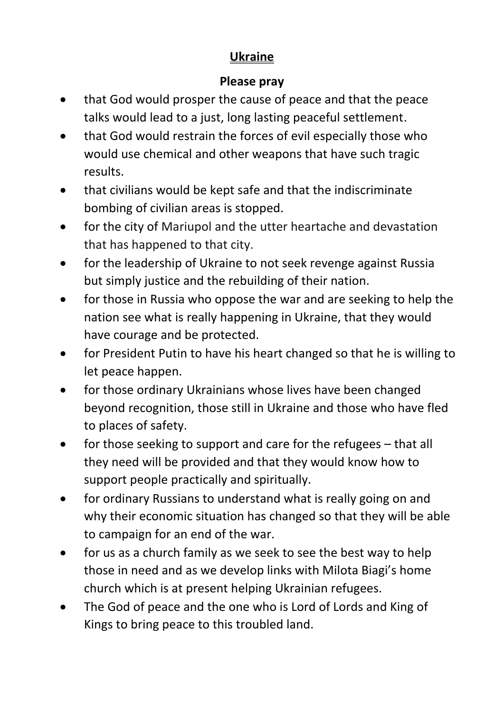## **Ukraine**

#### **Please pray**

- that God would prosper the cause of peace and that the peace talks would lead to a just, long lasting peaceful settlement.
- that God would restrain the forces of evil especially those who would use chemical and other weapons that have such tragic results.
- that civilians would be kept safe and that the indiscriminate bombing of civilian areas is stopped.
- for the city of Mariupol and the utter heartache and devastation that has happened to that city.
- for the leadership of Ukraine to not seek revenge against Russia but simply justice and the rebuilding of their nation.
- for those in Russia who oppose the war and are seeking to help the nation see what is really happening in Ukraine, that they would have courage and be protected.
- for President Putin to have his heart changed so that he is willing to let peace happen.
- for those ordinary Ukrainians whose lives have been changed beyond recognition, those still in Ukraine and those who have fled to places of safety.
- for those seeking to support and care for the refugees that all they need will be provided and that they would know how to support people practically and spiritually.
- for ordinary Russians to understand what is really going on and why their economic situation has changed so that they will be able to campaign for an end of the war.
- for us as a church family as we seek to see the best way to help those in need and as we develop links with Milota Biagi's home church which is at present helping Ukrainian refugees.
- The God of peace and the one who is Lord of Lords and King of Kings to bring peace to this troubled land.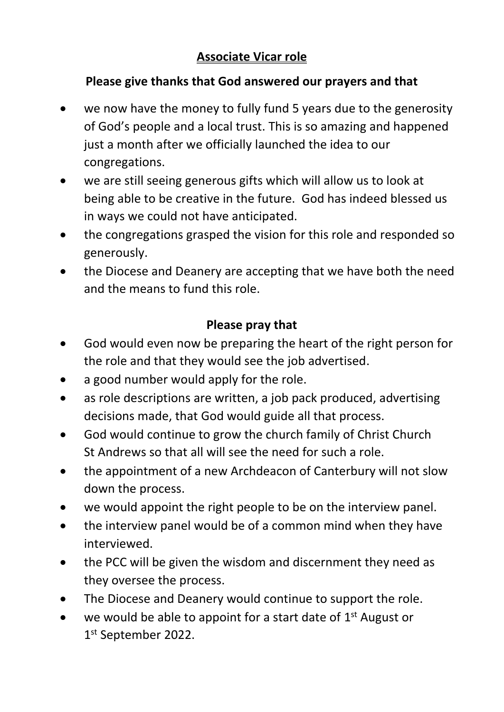### **Associate Vicar role**

#### **Please give thanks that God answered our prayers and that**

- we now have the money to fully fund 5 years due to the generosity of God's people and a local trust. This is so amazing and happened just a month after we officially launched the idea to our congregations.
- we are still seeing generous gifts which will allow us to look at being able to be creative in the future. God has indeed blessed us in ways we could not have anticipated.
- the congregations grasped the vision for this role and responded so generously.
- the Diocese and Deanery are accepting that we have both the need and the means to fund this role.

#### **Please pray that**

- God would even now be preparing the heart of the right person for the role and that they would see the job advertised.
- a good number would apply for the role.
- as role descriptions are written, a job pack produced, advertising decisions made, that God would guide all that process.
- God would continue to grow the church family of Christ Church St Andrews so that all will see the need for such a role.
- the appointment of a new Archdeacon of Canterbury will not slow down the process.
- we would appoint the right people to be on the interview panel.
- the interview panel would be of a common mind when they have interviewed.
- the PCC will be given the wisdom and discernment they need as they oversee the process.
- The Diocese and Deanery would continue to support the role.
- we would be able to appoint for a start date of  $1<sup>st</sup>$  August or 1 st September 2022.